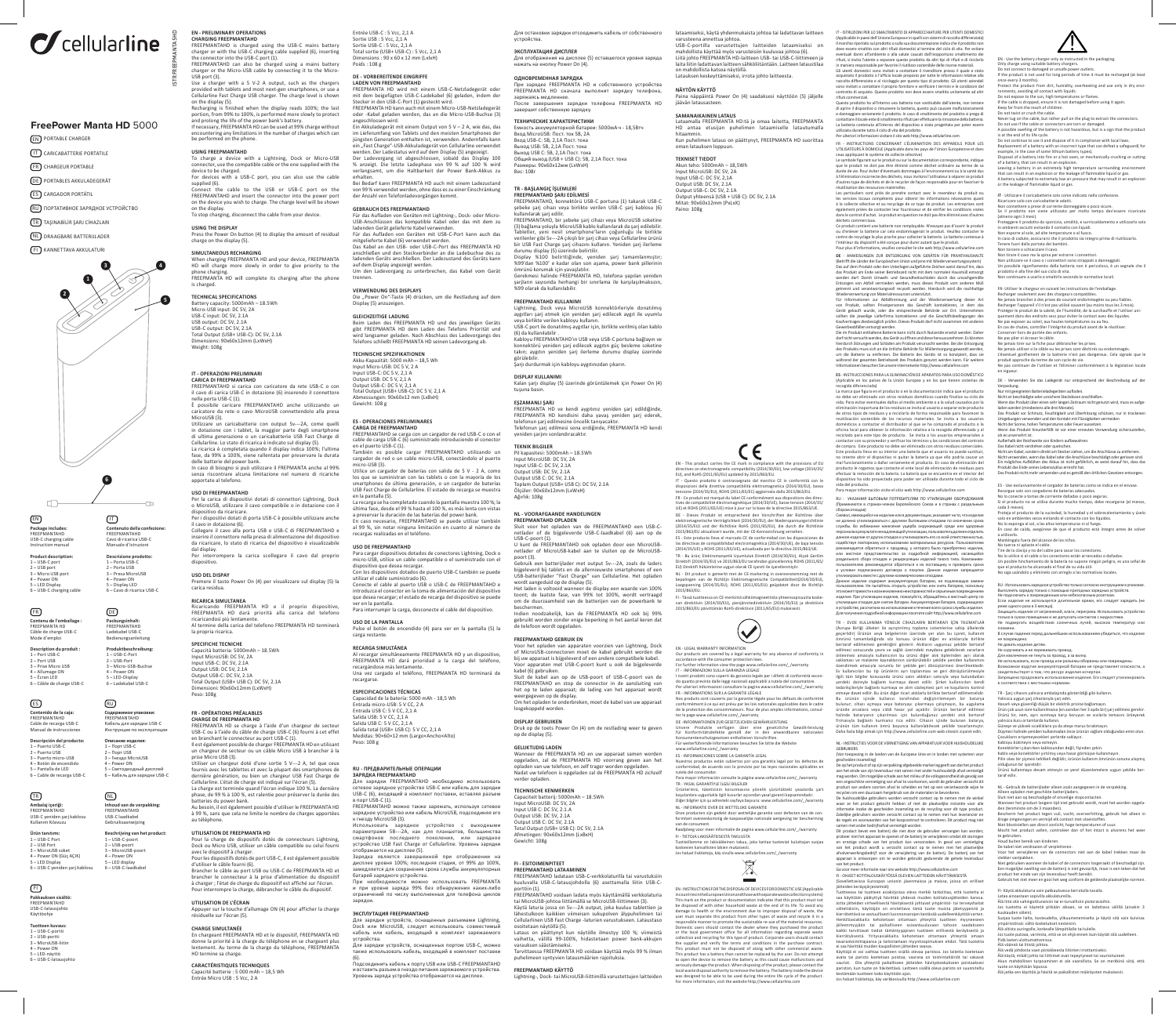# $\sigma$ cellularline

# **FreePower Manta HD** 5000

EN PORTABLE CHARGER

IT CARICABATTERIE PORTATILE FR CHARGEUR PORTABLE

DE PORTABLES AKKULADEGERÄT

ES CARGADOR PORTÁTIL

RU ПОРТАТИВНОЕ ЗАРЯДНОЕ УСТРОЙСТВО

TR TAŞINABİLİR ŞARJ CİHAZLARI

# NL DRAAGBARE BATTERIJLADER

FI KANNETTAVA AKKULATURI



**5**

is charged.

Weight: 108g

dispositivo.

la propria ricarica.

Peso: 108g

**CHARGE SIMULTANÉE**

**CARACTÉRISTIQUES TECHNIQUES** Capacité batterie : 5 000 mAh – 18,5 Wh Entrée Micro USB : 5 Vcc, 2 A

SPECIFICHE TECNICHE<br>Capacità batteria: 5000mAh – 18.5Wh<br>Input MicroUSB: DC 5V, 2A<br>Input USB-C: DC 5V, 2.1A<br>Output USB-C: DC 5V, 2.1A<br>Output USB-C: DC 5V, 2.1A<br>Toimensioni: (USB+ USB C): DC 5V, 2.1A<br>Toimensioni: (USB+ USB C

**TECHNICAL SPECIFICATIONS** Battery capacity: 5000mAh – 18.5Wh Battery capacity: 5000mAh -<br>Micro-USB input: DC 5V, 2A USB-C input: DC 5V, 2.1A

USB output: DC 5V, 2.1A USB-C output: DC 5V, 2.1A Total Output (USB+ USB-C): DC 5V, 2.1A Dimensions: 90x60x12mm (LxWxH)

CARICA DI FREEPMANTAHD<br>FREEPMANTAHD si carica con caricatore da rete USB-C o con<br>il cavo di carica USB-C in dotazione (6) inserendo il connettore<br>nella porta USB-C (1).<br>È possibile caricare FREEPMANTAHD anche utilizzando u

Utilizzare un caricabatterie con output Sv---2A, come quelli<br>in dotazione con i tablet, la maggior parte degli smartphone<br>di ultima generazione o un caricabatterie USB Fast Charge di<br>cellularine. Lo stato di ricarica è ind

**IT - OPERAZIONI PRELIMINARI** 



**Contenuto della confezione:** FREEPMANTAHD Cavo di ricarica USB-C Manuale d'istruz **Descrizione prodotto:** 1 – Porta USB-C 2 – Porta USB 3 – Presa MicroUSB 4 – Power ON 5 – Display LED 6 – Cavo di ricarica USB-C

 $\overline{a}$ 

**Packungsinhalt:** FREEPMANTAHD Ladekabel USB-C Bedienungsanleitung

**Produktbeschreibung:** 1 – USB-C-Port 2 – USB-Port 3 – Micro-USB-Buchse 4 – Power ON 5 – LED-Display 6 – Ladekabel USB-C

**Содержимое упаковки:**<br>FREEPMANTAHD<br>Кабель для зарядки USB-C<br>Инструкции по эксплуатации

**Inhoud van de verpakking:** FREEPMANTAHD USB-C laadkabel bruiksaanwijzing **Beschrijving van het product:** 1 – USB-C-poort 2 – USB-poort 3 – MicroUSB-poort 4 – Power ON 5 – LED display 6 – USB-C-laadkabel

 $\Box$ 

 $\textcircled{\scriptsize{E}}$ 

RU

### **Package includes:** FREEPMANTAHD USB-C charging cable Instruction manual EN

**Product description** 1 – USB-C port 2 – USB port 3 – Micro USB port 4 – Power ON 5 – LED Display 6 – USB-C charging cable

FR

**Contenu de l'emballage :<br>FREEPMANTA HD<br>Câble de charge USB-C<br>Mode d'emploi Description du produit :** 1 – Port USB-C 2 – Port USB 3 – Prise Micro USB 4 – Allumage ON 5 – Écran LED

6 – Câble de charge USB-C

**Contenido de la caja:<br>FREEPMANTAHD<br>Cable de recarga USB-C<br>Manual de instrucciones** ES

**Descripción del producto:**<br>1 – Puerto USB-C<br>2 – Puerto USB<br>3 – Puerto micro-USB<br>4 – Botón de encendido<br>5 – Pantalla de LED<br>6 – Cable de recarga USB-C **Описание изделия:<br>1 – Порт US**B-C<br>2 – Порт USB<br>3 – Гнездо MicroUSB<br>4 – Роwer ON<br>5 – Кабель для зарядки USB-C<br>6 – Кабель для зарядки USB-C

### **Ambalaj içeriği:** FREEPMANTAHD  $\boxed{\mathsf{TR}}$

USB-C yeniden şarj kablosu lanım Kılavuz **Ürün tanıtımı:**

1 – USB-C Port 2 – USB Port 3 – MicroUSB soket 4 – Power ON (Güç AÇIK) 5 – LED Display s – LLD Dispid<br>6 – USB-C ven

# $\bigoplus$

**Pakkauksen sisältö:**<br>FREEPMANTAHD<br>USB-C-latausjohto<br>Käyttöohje

6 – USB-C-latausjohto

**Tuotteen kuvaus:**<br>1 – USB-C-portti<br>2 – USB-portti<br>3 – MicroUSB-liitin 4 – Power ON 5 – LED-näyttö

## **EN - PRELIMINARY OPERATIONS CHARGING FREEPMANTAHD**

Use a charger with a 5 V-2 A output, such as the chargers<br>provided with tablets and most next-gen smartphones, or use a<br>Cellularline Fast Charge USB charger. The charge level is shown<br>on the display (5).<br>Recharging is fini

on the display.<br>To stop charging, disconnect the cable from your device.

ISTRFREEPMANTA5HD

FREEPMANTAHD is charged using the USB-C mains battery<br>charger or with the USB-C charging cable supplied (6), inserting<br>the connector into the USB-C port (1).<br>FREEPMANTAHD can also be charged using a mains battery<br>charger o Entrée USB-C : 5 Vcc, 2,1 A Sortie USB : 5 Vcc, 2,1 A Sortie USB-C : 5 Vcc, 2,1 A Total sortie (USB+ USB-C) : 5 Vcc, 2,1 A Dimensions : 90 x 60 x 12 mm (LxlxH) Poids : 108 g

## **DE - VORBEREITENDE EINGRIFFE**

**LADEN VON FREEPMANTAHD** FREEPMANTA HD wird mit einem USB-C-Netzladegerät oder mit dem beigefügten USB-C-Ladekabel (6) geladen, indem der<br>Stecker in den USB-C-Port (1) gesteckt wird.<br>FREEPMANTA HD kann auch mit einem Micro-USB-Netzladegerät<br>oder -Kabel geladen werden, das an die Micro-USB-Buchse (3) angeschlossen wird.<br>Fin Akkuladegerät mit einem Output von 5 V – 2 A. wie das, das Ein Akkuladegerät mit einem Output von 5 V – 2 A, wie das, das<br>im Lieferumfang von Tablets und den meisten Smartphones der<br>jüngsten Generation enthalten ist, verwenden. Andernfalls kann<br>ein, Fast Charge<sup>2</sup>-USB-Akkuladegerä

**USING FREEPMANTAHD** To charge a device with a Lightning, Dock or Micro-USB connector, use the compatible cable or the one supplied with the device to be charged. For devices with a USB-C port, you can also use the cable supplied (6). Connect the cable to the USB or USB-C port on the FREEPMANTAHD and insert the connector into the power port on the device you wish to charge. The charge level will be shown on the display. erhalten. Bei Bedarf kann FREEPMANTA HD auch mit einem Ladezustand von 99 % verwendet werden, ohne dass es zu einer Einschränkung der Anzahl von Telefonladevorgängen kommt.

# **USING THE DISPLAY** Press the Power On button (4) to display the amount of residual charge on the display (5). **GEBRAUCH DES FREEFMANTAHD**<br>Für das Aufladen von Geräten mit Lightning-, Dock- oder Micro-USB-Anschlüssen das kompatible Kabel oder das mit dem zu ladenden Gerät gelieferte Kabel verwenden.<br>Für das Aufladen von Geräten mit

**SIMULTANEOUS RECHARGING** When charging FREEPMANTA HD and your device, FREEPMANTA HD will charge more slowly in order to give priority to the phone charging. FREEPMANTA HD will complete its charging after the phone

Gewicht: 108 g

**VERWENDUNG DES DISPLAYS<br>Die "Power On"-Taste (4) drücken, um die Restladung auf dem<br>Display (5) anzuzeigen.** 

**GLEICHZEITIGE LADUNG**<br>Beim Laden des FREEPMANTA HD und des jeweiligen Geräts<br>gibt FREEPMANTA HD dem Laden des Telefons Priorität und<br>wird langsamer geladen. Nach Abschluss des Ladevorgang ab.<br>Telefons schließt FREEPMANTA

**TECHNISCHE SPEZIFIKATIONEN**<br>Akku-Kapazität: 5000 mAh – 18,5 Wh<br>Input Micro-USB: DC 5 V, 2 A<br>Input USB-C: DC 5 V, 2,1 A Output USB: DC 5 V, 2,1 A Output USB-C: DC 5 V, 2,1 A Total Output (USB+ USB-C): DC 5 V, 2,1 A Abmessungen: 90x60x12 mm (LxBxH)

**ES-OPERACIONES PRELIMINARES<br>CARGA DE FREEPMANTAHD<br>FREEPMANTAHD se carga con un cargador de red USB-C o con el<br>cable de carga USB-C (6) suministrado introduciendo el conector<br>en el puerto USB-C (1).<br>También es posible carg** 

micro-USB (3).<br>Utilice un cargador de baterías con salida de 5 V - 2 A, como<br>Ios que se suministran con las tablets o con la mayoría de los<br>Smartphones de última generación, o un cargador de baterías<br>USB Fast Charge de Cel

**USO DI FREEPMANTAHD** Per la carica di dispositivi dotati di connettori Lightning, Dock o MicroUSB, utilizzare il cavo compatibile o in dotazione con il dispositivo da ricaricare. Per i dispositivi dotati di porta USB-C è possibile utilizzare anche La recarga se ha completado cuando la pantalla muestra 100 %; la última fase, desde el 99 % hasta el 100 %, es más lenta con vistas a preservar la duración de las baterías del power bank. En caso necesario, FREEPMANTAHD se puede utilizar también al 99 %, sin notar ninguna limitación en cuanto al número de recargas realizadas en el teléfono.

### il cavo in dotazione (6).<br>Collegare il cavo alla porta USB o USB-C di FREEPMANTAHD e<br>inserire il connettore nella presa di alimentazione del dispositivo<br>da icaricare, lo stato di ricarica del dispositivo è visualizzabile<br>d oai oispiay.<br>Per interrompere la carica scollegare il cavo dal proprio **USO DE FREEPMANTAHD** naria<br>Ivos dotados de conectores Lightning, Dock o micro-USB, utilice un cable compatible o el suministrado con el

**USO DEL DISPAY** Premere il tasto Power On (4) per visualizzare sul display (5) la carica residua. **RICARICA SIMULTANEA** Ricaricando FREEPMANTA HD e il proprio dispositivo, FREEPMANTA HD darà priorità alla carica del telefono dispositivo que desea recargar.<br>Con los dispositivos dotados de puerto USB-C también se puede<br>utilizar el cable suministrado (6).<br>Conecte el cable al puerto USB o USB-C de FREEPMANTAHD e<br>introduzca el conector en la toma d antana.<br>umpir la carga, desconecte el cable del dispositivo.

ricaricandosi più lentamente. Al termine della carica del telefono FREEPMANTA HD terminerà

**USO DE LA PANTALLA** Pulse el botón de encendido (4) para ver en la pantalla (5) la carga restante.

**RECARGA SIMULTÁNEA** Al recargar simultáneamente FREEPMANTA HD y un dispositivo, FREEPMANTA HD dará prioridad a la carga del teléfono, recargándose más lentamente. Una vez cargado el teléfono, FREEPMANTA HD terminará de recargarse.

## **FR - OPÉRATIONS PRÉALABLES<br>CHARGE DE FREEPMANTA HD<br>FREEPMANTA HD se charge à l'aide d'un chargeur de secteur<br>USB-C ou à l'aide du câble de charge USB-C (6) fourni à cet effet** ESPECIFICACIONES TÉCNICAS<br>Capacidad de la batería: 5000 mAh - 18,5 Wh<br>Entrada micro-USB: 5 V CC, 2 A<br>Entrada USB C: 5 V CC, 2,1 A<br>Salida USB: 5 V CC, 2,1 A<br>Salida USB: 5 V CC, 2,1 A<br>Salida USB: 5 V CC, 2,1 A<br>Salida USB: 5 na total (038+ 038 C). 3<br>lidas: 90×60×12 mm (Lar

en branchant le connecteur au port USB-C (1). Il est également possible de charger FREEPMANTA HD en utilisant un chargeur de secteur ou un câble Micro USB à brancher à la prise Micro USB (3). Utiliser un chargeur doté d'une sortie 5 V---2 A, tel que ceux Peso: 108 g

# fournis avec les tablettes et avec la plupart des smartphones de<br>dernière génération, ou bien un chargeur USB Fast Charge de<br>Cellularline. L'état de charge est indiqué sur l'écran (5).<br>La charge est terméré quand l'écran i **RU - ПРЕДВАРИТЕЛЬНЫЕ ОПЕРАЦИИ**

**ЗАРЯДКА FREEPMANTAHD**<br>Для зарядки FREEPMANTAHD необходимо использовать<br>Сетевое зарядное устройство USB-C или кабель для зарядки<br>в порт USB-C (1).<br>в порт USB-C (1). FREEPMANTAHD можно также заряжать, используя сетевое зарядное устройство или кабель MicroUSB, подсоединяя его к гнезду MicroUSB (3).

**UTILISATION DE FREEPMANTA HD**<br>Pour la charge de dispositifs dotés de connecteurs Lightning,<br>Dock ou Micro USB, utiliser un câble compatible ou celui fourni<br>avec le dispositifs dotés de port USB-C, il est également possibl Использовать зарядное устройство с выходными<br>параметрами 5B---2A, как для планшетов, большинства<br>смартфонов последнего поколения, или зарядное<br>устройство USB Fast Charge or Cellularline. Уровень зарядки<br>о отооражается на дисплее (э).<br>Зарядка является завершенной при отображении на

à charger ; l'état de charge du dispositif est affiché sur l'écran. Pour interrompre la charge, débrancher le câble du dispositif. дисплее уровня 100%; последняя стадия, от 99% до 100%,<br>замедляется для сохранения срока службы аккумуляторных<br>батарей зарядного устройства.<br>При необходимости можно использовать FREPMANTA<br>и при уровне заряда 99 зарядки.

**UTILISATION DE L'ÉCRAN** Appuyer sur la touche d'allumage ON (4) pour afficher la charge résiduelle sur l'écran (5). En chargeant FREEPMANTA HD et le dispositif, FREEPMANTA HD donne la priorité à la charge du téléphone en se chargeant plus lentement. Au terme de la charge du téléphone, FREEPMANTA HD termine sa charge. **ЭКСПЛУТАЦИЯ FREEPMANTAHD** Для зарядки устройств, оснащенных разъемами Lightning, Dock или MicroUSB, следует использовать совместимый кабель или кабель, входящий в комплект заряжаемого устройства. Для зарядки устройств, оснащенных портом USB-C, можно

.<br>ать кабель, входящий в комплект п (6). <mark>інить кабель к порту USB или USB-C FREEPMANTAHD</mark><br>ь разъем в гнездо питания заряжаемося истор<sup>и</sup>ство

и вставить разъем в гнездо питания заряжаемого устройства. Уровень заряда устройства отображается на дисплее.

Для остановки зарядки отсоединить кабель от собственного устройства. Для отображения на дисплее (5) оставшегося уровня заряда нажать на кнопку Power On (4).

заряжаясь медленнее. После завершения зарядки телефона FREEPMANTA HD **NAYTON KAYTTO**<br>Paina näppäintä Power On (4) saadaksesi näyttöön (5) jäljelle<br>jäävän latausasteen.

> **SAMANAIKAINEN LATAUS** Lataamalla FREEPMANTA HD:tä ja omaa laitetta, FREEPMANTA HD antaa etusijan puhelimen lataamiselle latautumalla hitaammin. Kun puhelimen lataus on päättynyt, FREEPMANTA HD suorittaa

**TEKNISET TIEDOT** Akun teho: 5000mAh – 18,5Wh Input MicroUSB: DC 5V, 2A Input USB-C: DC 5V, 2,1A Output USB: DC 5V, 2.1A

şebeke şarj cihazı veya birlikte verilen USB-C şarj kablosu (6) kullanılarak şarj edilir.<br>FREEPMANTAHD, bir şebeke şarj cihazı veya MicroUSB soketine<br>(3) bağlama yoluyla MicroUSB kablo kullanılarak da şarj edilebilir.<br>Tabletler, yeni nesil smartphone 'ların çoğunluğu ile birlikte<br>

bir USB Fast Charge şarj cihazını kullanın. Yeniden şarj ilerleme<br>durumu dispay (5) üzerinde belirtliir.<br>Display %100 belirttiğinde, yeniden şarj tamamlanmıştır;<br>%99'dan %100' e kadar olan son aşama, power bank pille ısında herhangi bir sınırlama ile karşılaşılmaksızın, şarjların sayısında herh<br>%99 olarak da kullanılat

**FREEPMANTAHD ŞARJ EDİLMESİ** FREEPMANTAHD, konnektörü USB-C portuna (1) takarak USB-C

**ОДНОВРЕМЕННАЯ ЗАРЯДКА**<br>При зарядке FREEPMANTA HD и собственного устройства<br>FREEPMANTA HD сначала выполнит зарядку телефона,

**ТЕХНИЧЕСКИЕ ХАРАКТЕРИСТИКИ<br>Емкость аккумуляторной батареи: 5000мА·ч - 18,5Втч<br>Вход MicroUSB: Пост. ток 5В, 2А<br>Вход USB-C: 5В, 2,1A Пост. тока** 

Выход USB C: 5В, 2,1A Пост. тока Общий выход (USB + USB C): 5В, 2,1A Пост. тока Размеры: 90x60x12мм (LxWxH) Вес: 108г

### **FREEPMANTAHD KULLANIMI**

**ЭКСПЛУАТАЦИЯ ДИСПЛЕЯ**

завершит собственную зарядку.

Выход USB: 5В, 2,1A Пост. тока

**TR - BAŞLANGIÇ İŞLEMLERİ** 

Lightning, Dock veya MicroUSB konnektörleriyle donatılmış aygıtları şarj etmek için yeniden şarj edilecek aygıt ile uyumlu veya birlikte verilen kabloyu kullanın. USB-C port ile donatılmış aygıtlar için, birlikte verilmiş olan kablo (6) da kullanılabilir . Kabloyu FREEPMANTAHD'ın USB veya USB-C portuna bağlayın ve konnektörü yeniden şarj edilecek aygıtın güç besleme soketine takın; aygıtın yeniden şarj ilerleme durumu display üzerinde görülebilir. Şarjı durdurmak için kabloyu aygıtınızdan çıkarın.

**DISPLAY KULLANIMI** Kalan şarjı display (5) üzerinde görüntülemek için Power On (4) tuşuna basın.

**EŞZAMANLIŞAR**)<br>FREEPMANTA HD ve kendi aygıtınız yeniden şarj edildiğinde,<br>FREEPMANTA HD kendisini daha yavaş yeniden şarj ederek,<br>telefonun şarj edilmesi sona erdiğinde, FREEPMANTA HD kendi<br>Telefonun şarj edilmesi sona er

yeniden şarjını sonlandıracaktır. **TEKNIK BILGILER**

Pil kapasitesi: 5000mAh – 18.5Wh Input MicroUSB: DC 5V, 2A Input USB-C: DC 5V, 2.1A Output USB: DC 5V, 2.1A<br>Output USB C: DC 5V, 2.1A Output USB C: DC 5V, 2.1A Toplam Output (USB+ USB C): DC 5V, 2.1A Ölçüler: 90x60x12mm (LxWxH) Ağırlık: 108g

## **NL - VOORAFGAANDE HANDELINGEN FREEPMANTAHD OPLADEN**

poort (3). Gebruik een batterijlader met output 5v---2A, zoals de laders bijgeleverd bij tablets en de allernieuwste smartphones of een<br>USB-batterijlader "Fast Charge" van Cellularline. Het opladen USB-batterijlader "Fast Charge" van Cellularline. Het opladen<br>wordt aangeduid op de display (S).<br>Het laden is voltooid wanneer de display een waarde van 100%<br>toont; de laatste fase, van 99% tot 100%, wordt vertraagd<br>om de

beschermen.<br>Indien noodzakelijk, kan de FREEPMANTA HD ook bij 99% gebruikt worden zonder enige beperking in het aantal keren dat de telefoon wordt opgeladen.

### **FREEPMANTAHD GEBRUIK EN**

Voor het opladen van apparaten voorzien van Lightning, Dock<br>of MicroUSB-connectoren moet de kabel gebruikt worden die<br>bij uw apparaat is bijgeleverd of een andere compatibele kabel.<br>Voor apparaten met USB-C-poort kunt u oo kabel (6) gebruiken. Sluit de kabel aan op de USB-poort of USB-C-poort van de

FREEPMANTAHD en stop de connector in de aansluiting van het op te laden apparaat; de lading van het apparaat wordt weergegeven op de display. Om het opladen te onderbreken, moet de kabel van uw apparaat osgekoppeld worden

**DISPLAY GEBRUIKEN** Druk op de toets Power On (4) om de restlading weer te geven op de display (5).

# **GELIJKTIJDIG LADEN**<br>Wanneer de FREEPMANTA HD en uw apparaat samen worden<br>opgeladen, zal de FREEPMANTA HD voorrang geven aan het<br>opladen van uw telefoon, en zelf trager worden opgeladen.<br>Nadat uw telefoon is opgeladen zal verder opladen.

**TECHNISCHE KENMERKEN** Capaciteit batterij: 5000mAh – 18.5Wh Input MicroUSB: DC 5V, 2A Input Microose. DC 5V, 2<br>Input USB C: DC 5V, 2.1.A Output USB: DC 5V, 2.1A Output USB C: DC 5V, 2.1A Total Output (USB+ USB C): DC 5V, 2.1A Afmetingen: 90x60x12mm (LxBxH) Gewicht: 108g

**FI - ESITOIMENPITEET** 

**FREEPMANTAHD LATAAMINEN** FREEPMANTAHD ladataan USB-C-verkkolaturilla tai varustuksiin kuuluvalla USB-C-latausjohdolla (6) asettamalla liitin USB-C-

porttiin (1). FREEPMANTAHD voidaan ladata myös käyttämällä verkkolaturia tai MicroUSB-johtoa liittämällä se MicroUSB-liittimeen (3). Käytä laturia jossa on 5v---2A output, joka kuuluu tablettien ja<br>lähestulkoon kaikkien viimeisen sukupolven älypuhelimien tai<br>Cellularlinen USB Fast Charge-laturien varustukseen. Lataustaso<br>osoitetaan näytöllä (5).<br>Lataus

varauksen säästämiseksi. Tarvittaessa FREEPMANTA HD voidaan käyttää myös 99 % ilman puhelimeen syntyvien latausmäärien rajoituksia.

**FREEPMANTAHD KÄYTTÖ** Lightning-, Dock- tai MicroUSB-liittimillä varustettujen laitteiden lataamiseksi, käytä yhdenmukaista johtoa tai ladattavan laitteen varusteena annettua johtoa. USB-C-portilla varustettujen laitteiden lataamiseksi on mahdollista käyttää myös varusteisiin kuuluvaa johtoa (6). Liitä johto FREEPMANTA HD-laitteen USB- tai USB-C-liittimeen ja laita liitin ladattavan laitteen sähköliitäntään. Laitteen lataustilaa on mahdollista katsoa näytöllä. Latauksen keskeyttämiseksi, irrota johto laitteesta.

EN - Use the battery charger only as instructed in the packaging.<br>Only charge using suitable battery chargers. Only charge using suitable battery chargers.<br>Do not connect to damaged or unsafe power outlets.<br>If the product is not used for long periods of time it must be recharged (at least<br>once every 3 months). rocect the product from dirt, humidity, overheating and use only in dry envi-<br>poments avoiding all contact with liquids ronments, avoiding all contact with liquids.<br>Do not expose to the sun, high temperatures or flames.<br>If the cable is dropped, ensure it is not damaged before using it again.<br>Keep far from the reach of children.

IT - ISTRUZIONI PER LO SMALTIMENTO DI APPARECCHIATURE PER UTENTI DOMESTICI (Applicabile in paesi dell'Unione Europea e in quelli con sistemi di raccolta differenziata)

Il marchio reportato sul prodotto sulla sua occumentazione insida che prootto non essere amalato con altri rifiud domestici al termine del ciclo di vita. Per evitare<br>Il musulmani al ambiente o alta saltate cuasta dall'ango

contratto di acquato. Questo prodotto non deve essere smalitto unitamente ad altri<br>Questo prodotto ha all'interno una batteria non sostitubile dall'iterate, non tentare<br>di aprigre il dispositivo o rimuovere la batteria, qu

Per ulterior information inistince if stowed http://www.edularine.com<br>
FR = INSTRUCTIONS CONCERNANT L'ÉLIMINATION DES APPARELLS POUR LES<br>
UTILISATEURS À DOMICILE (Applicable dans les pays de l'Union Européenne et dans<br>
ce

déchets commerciaux.<br>Ce produit contient une batterie non remplaçable. N'essayer pas d'ouvrir le produit<br>ou d'enlever la batterie car cela endommagerait le produit. Veuillez contacter le<br>centre de recyclage le plus proche

DE - ANWEISUNGEN ZUR ENTSORGUNG VON GERATEN FUR PRIVATHAUSHALTE<br>(Betrifft die Länder der Europäischen Union und jene mit Wiederverwertungssystem)<br>Das auf dem Produkt oder den Unterlagen aufgeführte Zeichen weist darauf hin

werden darf. Damit Umwelt- und Gesundheitsschäden durch das unsachgemäße<br>Entsorgen von Abfall vermieden werden, muss dieses Produkt vom anderen Müll<br>getrennt und verantwortungsvoll recycelt werden. Hierdurch wird die nachh

von Produkt, sollten Privatpersonen das Geschäft kontaktieren, in dem das<br>Gerät gekauft wurde, oder die entsprechende Behörde vor Ort. Unternehmen<br>sollten die jeweilige Lieferfirma kontaktieren und die Geschäftsbedingungen المستحدة المستحدة المستحدة المستحدة المستحدة المستحدة المستحدة المستحدة المستحدة المستحدة المستحدة المستحدة ا<br>Die im Produkt enthaltene Batterie kann nicht durch Nutzende ersetzt werden. Daher<br>darf nicht versucht werden, darfnichtversucht werden, das Gerätzu öffnen und diese lerauszunehmen. Es könnten<br>hierdurch Störungen und Schäden am Produkt verursacht werden. Bei der Entsorgung<br>des Produkts muss sich as die örliche Behörde für Müllentso

ES - INSTRUCCIONES PARA LA ELIMINACION DE APARATOS PARA USO DOMESTICO<br>(Aplicable en los países de la Unión Europea y en los que tienen sistemas de<br>recogida diferenciada)<br>La marca que figura en el producto o en la documenta

no dels esre eliminado con otros residuos dométicos cuando finales su ciclo de sere eliminado con terrestantes dans al medio ambiente o da salud causados por la<br>eliminación inoportuna de los residuos seinvita al luxuario

Para mayor información visite el sitio web http://www.cellularline.com

RU - УКАЗАНИЯ БЫТОВЫМ ПОТРЕБИТЕЛЯМ ПО УТИЛИЗАЦИИ ОБОРУДОВАНИЯ (Применяются в странах-членах Европейского Союза и в странах с раздельным сбором отходов)<br>Символ, имеющийся на изделии или в документации, указывает на то, что изделие<br>не должно утилизироваться с другими бытовыми отходами по окончании срока<br>службы. Во избежание нанесения ущерба окружающей

данное изделие от других отходов и утилианровать его со всёй ответственностью,<br>содействуя повторному использованию материальных ресурсов. Пользователям<br>рекомендуется обратиться к продавку, у которого было приобретено изде

утилизировать вместе с другими коммерческими отходами. Данное изделие содержит аккумуляторную батарею, не подлежащую замене пользователем. Не пытайтесь открыть устройство или снять батарею, поскольку

TR - EVDE KULLANIMA YÖNELİK CİHAZLARIN BERTARAFI İÇİN TALİMATLAR<br>Ayrılan Birliği ülkeleri ile ayrırtırılmız taplama sistemlerine sahin ülkelerde (Avrupa Birliği ülkeleri ile ayrıştırılmış toplama sistemlerine sahip ülkelerde<br>(geçerildir) Ürünün verya belgelerinin üzerinde yer alan bu işaret, kullanım<br>ömrünü tamamladığında 302 konusu ürünün diğer ev atıklarıyla birl saklaması ve malzeme kaynaklarının sürdürülebilir şekilde yeniden kulla<br>2endirmek amacıyla sorumlu bir şekilde geri dönüştürmesi önerilme<br>2endirmek amacıyla sorumlu bir şekilde geri dönüştürmesi önerilme

özerlimek amacıyla sorunlu bir şekilde geri dönüştümesi önerilmektedir.<br>Ev kullanıcıları bu tip ürünlerin ayrı toplamması ve geri dönüştürülmesiyle<br>geri türün bilgiler konusunda ürünleri ayrı gelmi analerlik ve geri dönüşt

NL - INSTRUCTIES VOOR DE VERNIETIGING VAN APPARATUUR VOOR HUISHOUDELIJKE בהשתועות<br>Gan toepassing in de landen van de Europese Unie en in landen met systemen voor<br>Secheiden insamalisch

(Van toepsasing in de landen and de Europese Unie en in landen met systemen voor<br>geschrieden intameling)<br>agenceation intameling algebreekde material particle of the product can be can be end to an the end of any interest<br>

jätteiden keräysjärjestelmät) Tuotteessa tai tuotteen asiakirjoissa oleva merkki tarkoittaa, että tuotetta ei

ssa käyttöin päätytyi hävittää yhdessä muiden kottialousjätteleen kanssa.<br>1918 kieliä päätytyä hävittää yhdessä muiden kortistava kieliä kieliä kieliä kieliä kieliä kieliä kieliä kieli<br>Kerittäättä kieliä kieliä kieliä kiel

Jos haluat lisätietoja, käy verkkosivulla http://www.cellularline.com

результате ненадлежащей утилизац<br>глие от других отходов и утилизиров<br>повторному использованию матери

может привести к возникновению неисправностей и с<br>елия. При утилизации изделия, пожалуйста, обраща изделия. При утилизации изделия, пожалуйста, обращайтесь в местный центр по<br>утилизации отходов для снятия батареи. Аккумуляторная батарея, содержащаяся<br>в устройстве, рассчитана на использование в течение всего срока служб Для получения подробной информации посетите сайт http://www.cellularline.com

Do not twist or crush the cable.<br>Never tug on the cable, but rather pull on the plug to extract the connectors.<br>Do not use if the cable or connectors are torn or damaged.<br>A possible swelling of the battery is not hazardous

is at the end of its life cycle.<br>
So the conditional dispose of it in compliance with local laws.<br>
Replacement of a battery with an incorrect type that can defeat a safeguard<br>
( for example, in the case of some lithium bat

IT - Ultilizzare il canciabatterie solo come indicato nella confezione.<br>Ricaricare solo con caricabatterie adatti.<br>Non connettere a prese di corrente danneggiate o poco sicure.<br>Se il prodotto non viene utilizzato per molt

Non utilizzare se il cavo o i connettori sono strappati o danneggiati.<br>Un possibile rigonfiamento della batteria non è pericoloso, è un segnale che il<br>prodotto è alla fine del suo ciclo di vita.<br>Non continuare a usarlo e s

FR. Utiliser le charger en suivant les instructions de l'emballage.<br>Recharger seudement avec des chargeurs compatibles.<br>Necharger seudement avec des chargeurs compatibles.<br>Necharger l'appareil s'in est pas utilisé souvent

Ne pas plier ni écraser le câble.<br>Ne jamais trier sur la fiche pour débrancher les prises.<br>Ne jamais triliser si le câble ou les prises sont déchirés ou endommagés.<br>Ne jamais triliser si le câble ou les prises sont déchiré

DE - Verwenden Sie das Ladegerät nur entsprechend der Beschreibung auf der Verpackung.<br>Nur mit geeigneten Batterieladegeräten aufladen.<br>Nicht an beschädigte oder unsichere Steckdosen anschließen.<br>Wenn das Produkt über einen sehr langen Zeitraum nicht genutzt wird, muss es aufge

laden werden (mindstens alle drei Monate).<br>Das Produkt vor Schmutz, Feuchtigkeit und Überhitzung schützen, nur in trockenen<br>Umgebungen verwenden und den Kontakt mit Füsisigkeiten vermeiden<br>Nicht der Sonne, hohen Temperatur

Außerhalb der Reichweite von Kindern aufbewahren.<br>Das Kabel nicht verdrehen oder quetschen.<br>Nicht am Kabel, sondern direkt am Stecker ziehen, um die Anschlüsse zu entfernen.<br>Nicht verwenden, wenn das Kabel oder die Anschlü

ES - Use exclusivamente el cargador de baterías como se indica en el envase. Recargue solo con cargadores de baterias adecuados.<br>No lo conecte a tomas de corriente dañadas o poco seguras.<br>Si el producto no se utiliza durante mucho tiempo, debe recargarse (al menos,<br>cada 3 meses).<br>Proteja el product solo en ambientes secos evitando el contacto con los líquidos. No lo exponga al sol, a las altas temperaturas ni al fuego. En caso de caída, asegúrese de que el producto está íntegro antes de volver

No tuerza ni aplaste el cable.<br>Tire de la clavija y no del cable para sacar los conectores.<br>No lo utilice si el cable o los conectores están arrancados o dañados.<br>Un posible hinchamiento de la batería no supone ningún peli No siga usándolo y elimínelo con arreglo a las normativas locales.

RU - Использовать зарядное устройство только согласно инструкциям в упаковке. Выполнять зарядку только с помощью пригодных зарядных устройств. Не подключать к поврежденным или небезопасным розеткам. Если изделие не используется длительное время, его следует зарядить (не реже одного раза в 3 месяца). Защищать изделие от загразнений, влаги, перегрева. Использовать устройство<br>только в сухом помещении и не допускать контактов с жидкостями.<br>Не подвергать воздействию солнечных лучей, высоких температур или<br>В случае падения

Не использовать, если провод или разъемы оборваны или повреждены. Возможное вздутие аккумуляторной батареи не представляет опасности, а свидетельствует о том, что ресурс изделия исчерпан. Запрещено продолжать использование изделия. Его следует утилизировать в соответствии с местными нормами.

Ürünü kir, nem, aşırı ısınmaya karşı koruyun ve sıvılarla temasını önleyerek<br>Valinzia kuru ortamlarda kullanın.<br>Güneşe ve yüksek sıcaklıklara ya da ateşe maruz bırakmayın.<br>Düşmesi halinde yeniden kullanmadan önce ürünün sa

Pilin olası bir şişmesi tehlikeli değildir, ürünün kullanım ömrünün sonuna ulaşmış olduğunun bir işaretidir. Ürünü kullanmaya devam etmeyin ve yerel düzenlemelere uygun şekilde ber-

NL-Gebruik de batterijlader alleen zoals aangegeven in de verpakking.<br>Alleen opladen met geschikte batterijladers.<br>Sluit niet aan op beschadigde of onveilige stopcontacten.<br>Wanneer het product langere tijd niet gebruikt wo

Houd buiten bereik van kinderen.<br>De kabel niet verwijderen van de connectors niet aan de kabel trekken maar de<br>Voor het verwijderen van de connectors niet aan de kabel trekken maar de<br>Niet gebruiken wanneer de kabel of de

Älä vedä johdosta vaan pistokkeesta liitiriten irrottamiseksi.<br>Älä käytä, mikäli johto tai liittimet ovat repeytyneet tai vaurioituneet.<br>Akun mahdollinen turpoaminen ei ole vaarallista. Se on merkkinä siitä, että<br>tuote on

FI- Käytä akkulaturia vain pakkauksessa kerrotulla tavalla. Lataa ainoastaan sopivilla akkulatureilla. Älä liitä sitä vahingoittuneisiin tai ei-turvallisiin pistorasioihin. الدين للمستخدمة المستخدمة aikaraisiin pistorasioihin.<br>Jos tuotetta ei käytetä pitkään aikaan, se on ladattava välillä (ainakin 3<br>cuukauden välein) kuukauden välein).<br>Suojaa tuote lialta, kosteudelta, ylikuumenemiselta ja käytä sitä vain kuivissa<br>ympäristöissä: vältä kosketukset nesteisiin.<br>Älä altista auringolle, korkealle lämpötilalle tai tulelle. Jos tuote putoaa, varmista, että se on ehjä ennen kuin käytät sitä uudelleen. Pidä lasten ulottumattomissa.

<sub>lä lästen uluttumattomo.</sub><br>i väännä tai litistä johtoa.

a utilizarlo. Manténgalo fuera del alcance de los niños.

не повреждено. Не давать изделие детям.

taraf edin.

Не скручивать и не пережимать провод. Для извлечения не тянуть за провод, а за вилку.

TR - Şarj cihazını yalnızca ambalajında gösterildiği gibi kullanın. Yalnızca uygun şarj cihazlarıyla şarj edin. Hasarlı veya güvenliği düşük bir elektrik prizine bağlamayın. Ürün çok uzun süre kullanılmazsa (en azından her 3 ayda bir) şarj edilmesi gerekir.

oman latauksen lopp

Output USB-C: DC 5V, 2.1A Output yhteensä (USB + USB C): DC 5V, 2.1A Mitat: 90x60x12mm (PxLxK) Paino: 108g

e with the provisions of EU<br>VEU). Iow voltage (2014/35/

EN-INSTROITEDNSFORTHEIDSPOSAL OF DEVICES FOR DOMESTIC USE (Applicable income<br>incontristing the proposition and those with sparse to allocate income in<br>contristing the proposition of the product of concurrentation indicate

EN - LEGAL WARRANTY INFORMATION Our products are covered by a legal warranty for any absence of conformity in

 $\left(\bigvee\right)$ 

directives on electromagnetic compatibility (2014/30/EU), low voltage (2014/35/<br>EU), and RoHS (2011/65/EU) updated by 2015/863/EU.<br>IT - Questo prodotto è contrassegnato dal marchio CE in conformità con le<br>disposizioni dell

 $C \in$ 

FR - Ce produit est marqué du label CE conformément aux dispositions des direc-tives de compatibilité électromagnétique (2014/30/UE), basse tension (2014/35/

UE) et ROHS (2011/65/UE) miss à jour sur la base de la directive 2015/862/UE.<br>DE - Dieses Produkt ist entsprechend den Vorschriften der Richtlinie über<br>elektromagnetische Verträglichkeit (2014/57/EU), der Niederspannungsr

TR - Bu ürün; Elektromanyetik Uyumluluk Direktifi (2014/30/EU), Alçak Gerilim<br>Direktifi (2014/35/EU) ve 2015/863/EU tarafından güncellenmiş ROHS (2011/65/<br>EU) Direktifi hükümlerine uygun olarak CE işareti ile işaretlenmişt

NL - Dit product is gemerkt met de CE-markering in overeenstemming met de<br>bepalingen van de Richtlijn Elektromagnetische Compatibiliteit(2014/30/EU),<br>Laagspanning (2014/35/EU), ROHS (2011/65/EU) geüpdatet door de Richtlijn

van direktiivin (2014/30/EU), pienjännitedirektiivin (2014/35/EU) ja direktiivin 2015/863/EU päivittämän RoHS-direktiivin (2011/65/EU) mukaisesti.

FI - Tässä tuotteessa on CE-merkintä sähkömagneettista yhteenso

accordance with the consumer protection laws.<br>To further information view the page www.cellularline.com/\_/warranty<br>T- . NFORMAZIONI SULA GARANZIA LEGALE<br>
T- INFORMAZIONI SULA GARANZIA LEGALE<br>
do quanto presidio dalle legg

DE -INFORMATIONEN ZUR GESETZLICHEN GEWÄHRLEISTUNG Unsere Produkte verfügen über eine gesetzliche Gewährleistung für Konformitätsdefekte gemäß der in den anwendbaren nationalen Konsumentenschutzgesetzen enthaltenen Vorschriften. Für weiterführende Informationen besuchen Sie bitte die Website

Nuestros productos están cubiertos por una garantía legal por los defectos de conformidad, de acuerdo con lo previsto por las leyes nacionales aplicables en tutela del consumidor.<br>Para mayor información consulte la página www.cellularline.com/\_/warranty<br>TR - YASAL GARANTİYLE İLGİLİ BİLGİLER<br>Ürünlerimiz, tüketicinin korunmasına yönelik yürürlükteki yasalarda şart

koşulanlara uygunlukla ilgili kusurlar açısından yasal garanti kapsamındadır. Diğer bilgiler için şu adresteki sayfaya başvuru: www.cellularline.com/\_/warranty

NL - INFORMATIE OVER DE WETTELIJKE GARANTIE Onze producten zijn gedekt door wettelijke garantie voor defecten van de con-formiteit overeenkomstig de toepasselijke nationale wetgeving ter bescherming

van de consument.<br>Raadpleeg woor meer informatie de pagina www.cellularline.com/\_/warranty<br>F1-T1ETOJA LANSAÄTEISESTÄ TAKUUSTA<br>Koskevien kansallisten lakien in taksatti.<br>Koskevien kansallisten lakien mukaisesti.<br>Jos haluat

 $\boxed{\boxtimes}$ 

rline.com/ /war

ES - INFORMACIONES SOBRE LA GARANTÍA LEGAL

For more information, visit to more the battery. The battery inside designed to be able to be used during the entire life cycle of the normation. While the computation

Sluit voor het opladen van de FREEPMANTAHD een USB-C-netlader of de bijgeleverde USB-C-laadkabel (6) aan op de USB-C-poort (1). U kunt de FREEPMANTAHD ook opladen door een MicroUSB-netlader of MicroUSB-kabel aan te sluiten op de MicroUSB-